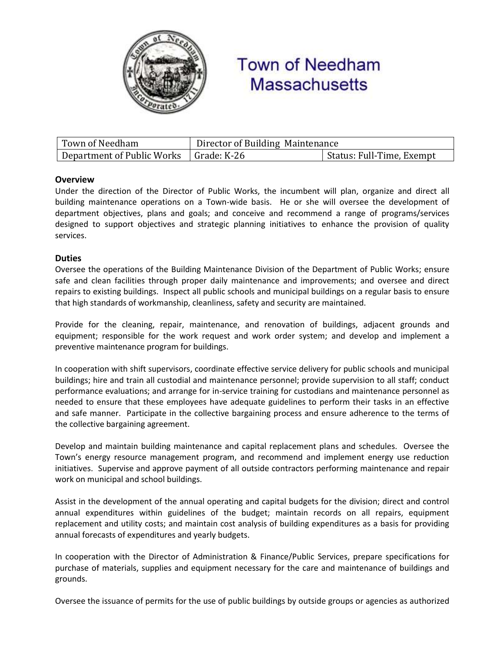

# **Town of Needham Massachusetts**

| Town of Needham                          | Director of Building Maintenance |                           |
|------------------------------------------|----------------------------------|---------------------------|
| Department of Public Works   Grade: K-26 |                                  | Status: Full-Time, Exempt |

## **Overview**

Under the direction of the Director of Public Works, the incumbent will plan, organize and direct all building maintenance operations on a Town-wide basis. He or she will oversee the development of department objectives, plans and goals; and conceive and recommend a range of programs/services designed to support objectives and strategic planning initiatives to enhance the provision of quality services.

# **Duties**

Oversee the operations of the Building Maintenance Division of the Department of Public Works; ensure safe and clean facilities through proper daily maintenance and improvements; and oversee and direct repairs to existing buildings. Inspect all public schools and municipal buildings on a regular basis to ensure that high standards of workmanship, cleanliness, safety and security are maintained.

Provide for the cleaning, repair, maintenance, and renovation of buildings, adjacent grounds and equipment; responsible for the work request and work order system; and develop and implement a preventive maintenance program for buildings.

In cooperation with shift supervisors, coordinate effective service delivery for public schools and municipal buildings; hire and train all custodial and maintenance personnel; provide supervision to all staff; conduct performance evaluations; and arrange for in-service training for custodians and maintenance personnel as needed to ensure that these employees have adequate guidelines to perform their tasks in an effective and safe manner. Participate in the collective bargaining process and ensure adherence to the terms of the collective bargaining agreement.

Develop and maintain building maintenance and capital replacement plans and schedules. Oversee the Town's energy resource management program, and recommend and implement energy use reduction initiatives. Supervise and approve payment of all outside contractors performing maintenance and repair work on municipal and school buildings.

Assist in the development of the annual operating and capital budgets for the division; direct and control annual expenditures within guidelines of the budget; maintain records on all repairs, equipment replacement and utility costs; and maintain cost analysis of building expenditures as a basis for providing annual forecasts of expenditures and yearly budgets.

In cooperation with the Director of Administration & Finance/Public Services, prepare specifications for purchase of materials, supplies and equipment necessary for the care and maintenance of buildings and grounds.

Oversee the issuance of permits for the use of public buildings by outside groups or agencies as authorized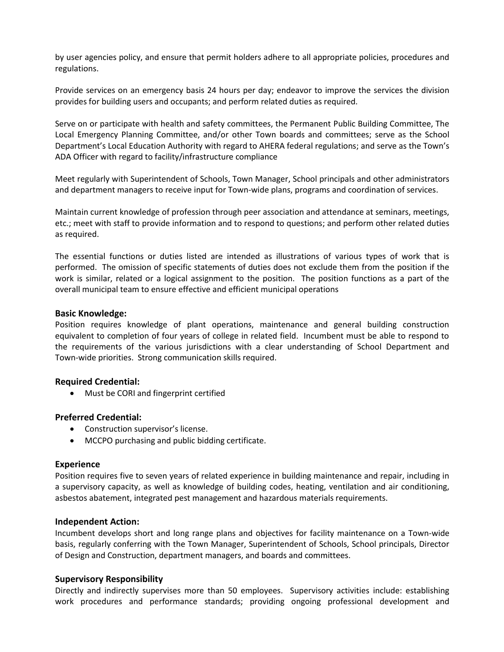by user agencies policy, and ensure that permit holders adhere to all appropriate policies, procedures and regulations.

Provide services on an emergency basis 24 hours per day; endeavor to improve the services the division provides for building users and occupants; and perform related duties as required.

Serve on or participate with health and safety committees, the Permanent Public Building Committee, The Local Emergency Planning Committee, and/or other Town boards and committees; serve as the School Department's Local Education Authority with regard to AHERA federal regulations; and serve as the Town's ADA Officer with regard to facility/infrastructure compliance

Meet regularly with Superintendent of Schools, Town Manager, School principals and other administrators and department managers to receive input for Town-wide plans, programs and coordination of services.

Maintain current knowledge of profession through peer association and attendance at seminars, meetings, etc.; meet with staff to provide information and to respond to questions; and perform other related duties as required.

The essential functions or duties listed are intended as illustrations of various types of work that is performed. The omission of specific statements of duties does not exclude them from the position if the work is similar, related or a logical assignment to the position. The position functions as a part of the overall municipal team to ensure effective and efficient municipal operations

#### **Basic Knowledge:**

Position requires knowledge of plant operations, maintenance and general building construction equivalent to completion of four years of college in related field. Incumbent must be able to respond to the requirements of the various jurisdictions with a clear understanding of School Department and Town-wide priorities. Strong communication skills required.

## **Required Credential:**

Must be CORI and fingerprint certified

## **Preferred Credential:**

- Construction supervisor's license.
- MCCPO purchasing and public bidding certificate.

#### **Experience**

Position requires five to seven years of related experience in building maintenance and repair, including in a supervisory capacity, as well as knowledge of building codes, heating, ventilation and air conditioning, asbestos abatement, integrated pest management and hazardous materials requirements.

#### **Independent Action:**

Incumbent develops short and long range plans and objectives for facility maintenance on a Town-wide basis, regularly conferring with the Town Manager, Superintendent of Schools, School principals, Director of Design and Construction, department managers, and boards and committees.

## **Supervisory Responsibility**

Directly and indirectly supervises more than 50 employees. Supervisory activities include: establishing work procedures and performance standards; providing ongoing professional development and